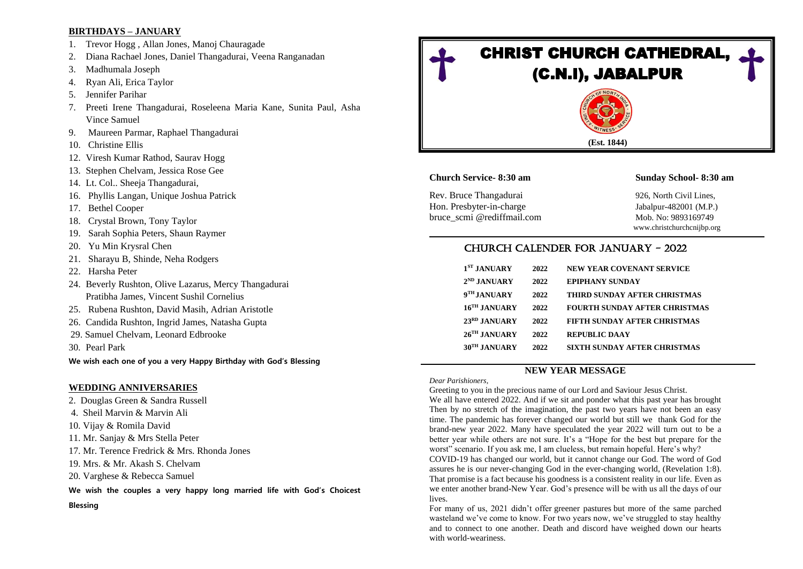### **BIRTHDAYS – JANUARY**

- 1. Trevor Hogg , Allan Jones, Manoj Chauragade
- 2. Diana Rachael Jones, Daniel Thangadurai, Veena Ranganadan
- 3. Madhumala Joseph
- 4. Ryan Ali, Erica Taylor
- 5. Jennifer Parihar
- 7. Preeti Irene Thangadurai, Roseleena Maria Kane, Sunita Paul, Asha Vince Samuel
- 9. Maureen Parmar, Raphael Thangadurai
- 10. Christine Ellis
- 12. Viresh Kumar Rathod, Saurav Hogg
- 13. Stephen Chelvam, Jessica Rose Gee
- 14. Lt. Col.. Sheeja Thangadurai,
- 16. Phyllis Langan, Unique Joshua Patrick
- 17. Bethel Cooper
- 18. Crystal Brown, Tony Taylor
- 19. Sarah Sophia Peters, Shaun Raymer
- 20. Yu Min Krysral Chen
- 21. Sharayu B, Shinde, Neha Rodgers
- 22. Harsha Peter
- 24. Beverly Rushton, Olive Lazarus, Mercy Thangadurai Pratibha James, Vincent Sushil Cornelius
- 25. Rubena Rushton, David Masih, Adrian Aristotle
- 26. Candida Rushton, Ingrid James, Natasha Gupta
- 29. Samuel Chelvam, Leonard Edbrooke
- 30. Pearl Park

**We wish each one of you a very Happy Birthday with God's Blessing**

### **WEDDING ANNIVERSARIES**

- 2. Douglas Green & Sandra Russell
- 4. Sheil Marvin & Marvin Ali
- 10. Vijay & Romila David
- 11. Mr. Sanjay & Mrs Stella Peter
- 17. Mr. Terence Fredrick & Mrs. Rhonda Jones
- 19. Mrs. & Mr. Akash S. Chelvam
- 20. Varghese & Rebecca Samuel
- **We wish the couples a very happy long married life with God's Choicest**
- **Blessing**



## **Church Service- 8:30 am Sunday School- 8:30 am**

Rev. Bruce Thangadurai 926, North Civil Lines, Hon. Presbyter-in-charge Jabalpur-482001 (M.P.) bruce\_scmi @rediffmail.com Mob. No: 9893169749

www.christchurchcnijbp.org

# CHURCH CALENDER FOR JANUARY - 2022

| 1 <sup>ST</sup> JANUARY    | 2022 | <b>NEW YEAR COVENANT SERVICE</b>     |
|----------------------------|------|--------------------------------------|
| $2^{ND}$ JANUARY           | 2022 | <b>EPIPHANY SUNDAY</b>               |
| 9 <sup>TH</sup> JANUARY    | 2022 | THIRD SUNDAY AFTER CHRISTMAS         |
| 16 <sup>TH</sup> JANUARY   | 2022 | <b>FOURTH SUNDAY AFTER CHRISTMAS</b> |
| 23 <sup>RD</sup> JANUARY   | 2022 | <b>FIFTH SUNDAY AFTER CHRISTMAS</b>  |
| $26$ <sup>TH</sup> JANUARY | 2022 | <b>REPUBLIC DAAY</b>                 |
| 30 <sup>TH</sup> JANUARY   | 2022 | SIXTH SUNDAY AFTER CHRISTMAS         |
|                            |      |                                      |

## **NEW YEAR MESSAGE**

*Dear Parishioners,*

Greeting to you in the precious name of our Lord and Saviour Jesus Christ. We all have entered 2022. And if we sit and ponder what this past year has brought Then by no stretch of the imagination, the past two years have not been an easy time. The pandemic has forever changed our world but still we thank God for the brand-new year 2022. Many have speculated the year 2022 will turn out to be a better year while others are not sure. It's a "Hope for the best but prepare for the worst" scenario. If you ask me, I am clueless, but remain hopeful. Here's why?

COVID-19 has changed our world, but it cannot change our God. The word of God assures he is our never-changing God in the ever-changing world, [\(Revelation 1:8\)](https://biblia.com/bible/esv/Rev%201.8). That promise is a fact because his goodness is a consistent reality in our life. Even as we enter another brand-New Year. God's presence will be with us all the days of our lives.

For many of us, 2021 didn't offer [greener pastures](https://www.thegospelcoalition.org/article/greener-grass-sturdy-hope/) but more of the same parched wasteland we've come to know. For two years now, we've struggled to stay healthy and to connect to one another. Death and discord have weighed down our hearts with world-weariness.